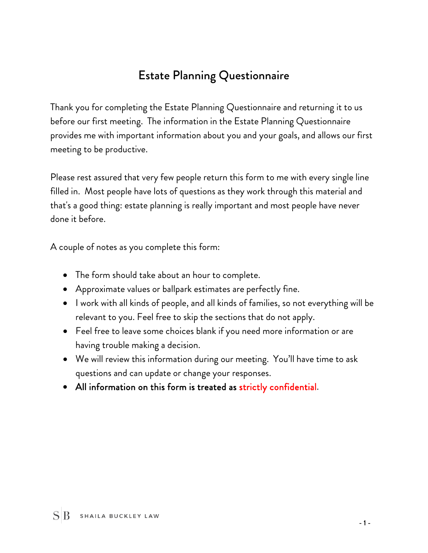# Estate Planning Questionnaire

Thank you for completing the Estate Planning Questionnaire and returning it to us before our first meeting. The information in the Estate Planning Questionnaire provides me with important information about you and your goals, and allows our first meeting to be productive.

Please rest assured that very few people return this form to me with every single line filled in. Most people have lots of questions as they work through this material and that's a good thing: estate planning is really important and most people have never done it before.

A couple of notes as you complete this form:

- The form should take about an hour to complete.
- Approximate values or ballpark estimates are perfectly fine.
- I work with all kinds of people, and all kinds of families, so not everything will be relevant to you. Feel free to skip the sections that do not apply.
- Feel free to leave some choices blank if you need more information or are having trouble making a decision.
- We will review this information during our meeting. You'll have time to ask questions and can update or change your responses.
- All information on this form is treated as strictly confidential.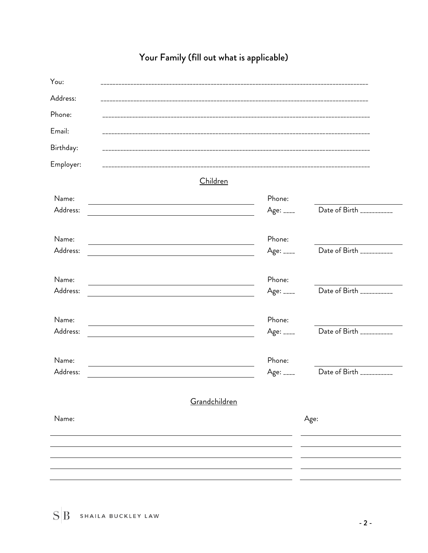| You:              |                                                         |                         |                           |
|-------------------|---------------------------------------------------------|-------------------------|---------------------------|
| Address:          |                                                         |                         |                           |
| Phone:            |                                                         |                         |                           |
| Email:            |                                                         |                         |                           |
| Birthday:         |                                                         |                         |                           |
| Employer:         |                                                         |                         |                           |
|                   | Children                                                |                         |                           |
| Name:             |                                                         | Phone:                  |                           |
| Address:          | <u> 1989 - Johann Barbara, martxa alemaniar a</u>       | Age: ____               | Date of Birth ___________ |
| Name:             |                                                         | Phone:                  |                           |
| Address:          |                                                         | Age: ____               | Date of Birth ___________ |
| Name:             |                                                         | Phone:                  |                           |
| Address:          | <u> 1980 - Johann Barbara, martin amerikan basal da</u> | Age: $_{---}$           | Date of Birth ___________ |
| Name:             |                                                         | Phone:                  |                           |
| Address:          |                                                         | Age: ____               | Date of Birth ___________ |
|                   |                                                         |                         |                           |
| Name:<br>Address: |                                                         | Phone:<br>Age: $_{---}$ | Date of Birth ___________ |
|                   |                                                         |                         |                           |
|                   | Grandchildren                                           |                         |                           |
| Name:             |                                                         |                         | Age:                      |
|                   |                                                         |                         |                           |
|                   |                                                         |                         |                           |
|                   |                                                         |                         |                           |
|                   |                                                         |                         |                           |

# Your Family (fill out what is applicable)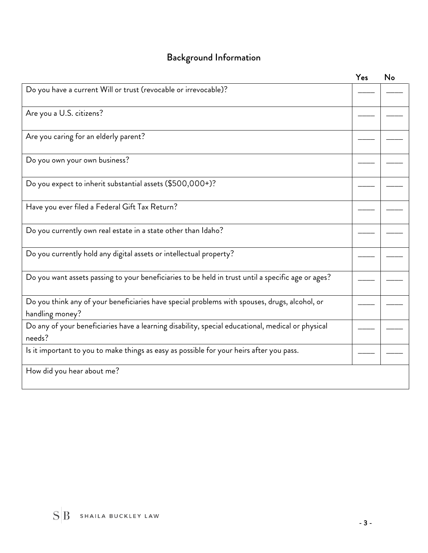# Background Information

|                                                                                                                  | Yes | No |
|------------------------------------------------------------------------------------------------------------------|-----|----|
| Do you have a current Will or trust (revocable or irrevocable)?                                                  |     |    |
| Are you a U.S. citizens?                                                                                         |     |    |
| Are you caring for an elderly parent?                                                                            |     |    |
| Do you own your own business?                                                                                    |     |    |
| Do you expect to inherit substantial assets (\$500,000+)?                                                        |     |    |
| Have you ever filed a Federal Gift Tax Return?                                                                   |     |    |
| Do you currently own real estate in a state other than Idaho?                                                    |     |    |
| Do you currently hold any digital assets or intellectual property?                                               |     |    |
| Do you want assets passing to your beneficiaries to be held in trust until a specific age or ages?               |     |    |
| Do you think any of your beneficiaries have special problems with spouses, drugs, alcohol, or<br>handling money? |     |    |
| Do any of your beneficiaries have a learning disability, special educational, medical or physical<br>needs?      |     |    |
| Is it important to you to make things as easy as possible for your heirs after you pass.                         |     |    |
| How did you hear about me?                                                                                       |     |    |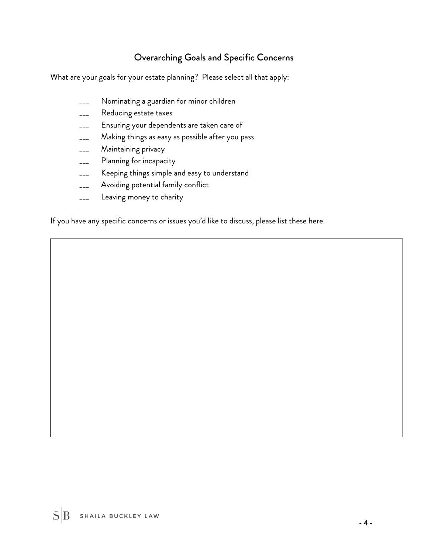## Overarching Goals and Specific Concerns

What are your goals for your estate planning? Please select all that apply:

- Nominating a guardian for minor children
- \_\_\_ Reducing estate taxes
- \_\_\_ Ensuring your dependents are taken care of
- \_\_\_ Making things as easy as possible after you pass
- \_\_\_ Maintaining privacy
- \_\_\_ Planning for incapacity
- \_\_\_ Keeping things simple and easy to understand
- \_\_\_ Avoiding potential family conflict
- Leaving money to charity

If you have any specific concerns or issues you'd like to discuss, please list these here.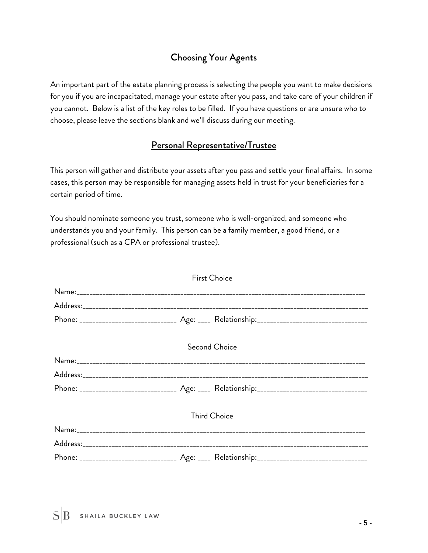## Choosing Your Agents

An important part of the estate planning process is selecting the people you want to make decisions for you if you are incapacitated, manage your estate after you pass, and take care of your children if you cannot. Below is a list of the key roles to be filled. If you have questions or are unsure who to choose, please leave the sections blank and we'll discuss during our meeting.

### Personal Representative/Trustee

This person will gather and distribute your assets after you pass and settle your final affairs. In some cases, this person may be responsible for managing assets held in trust for your beneficiaries for a certain period of time.

You should nominate someone you trust, someone who is well-organized, and someone who understands you and your family. This person can be a family member, a good friend, or a professional (such as a CPA or professional trustee).

| <b>First Choice</b> |  |  |  |
|---------------------|--|--|--|
|                     |  |  |  |
|                     |  |  |  |
|                     |  |  |  |
| Second Choice       |  |  |  |
|                     |  |  |  |
|                     |  |  |  |
|                     |  |  |  |
| <b>Third Choice</b> |  |  |  |
|                     |  |  |  |
|                     |  |  |  |
|                     |  |  |  |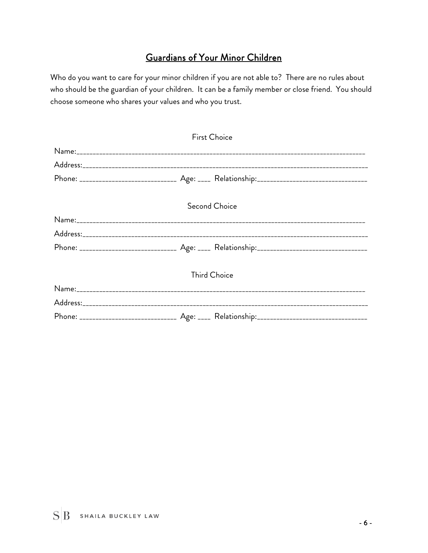## Guardians of Your Minor Children

Who do you want to care for your minor children if you are not able to? There are no rules about who should be the guardian of your children. It can be a family member or close friend. You should choose someone who shares your values and who you trust.

| <b>First Choice</b> |  |               |
|---------------------|--|---------------|
|                     |  |               |
|                     |  |               |
|                     |  |               |
|                     |  | Second Choice |
|                     |  |               |
|                     |  |               |
|                     |  |               |
| <b>Third Choice</b> |  |               |
|                     |  |               |
|                     |  |               |
|                     |  |               |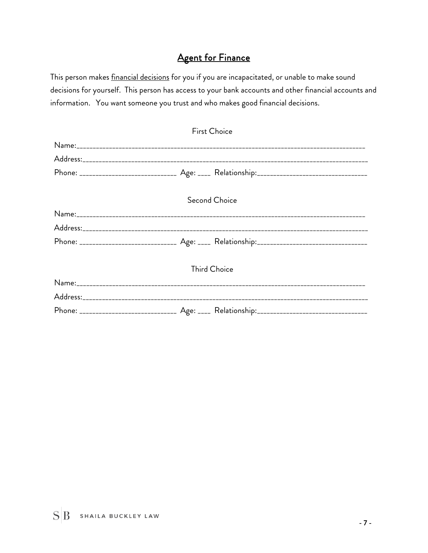## **Agent for Finance**

This person makes **financial decisions** for you if you are incapacitated, or unable to make sound decisions for yourself. This person has access to your bank accounts and other financial accounts and information. You want someone you trust and who makes good financial decisions.

| <b>First Choice</b> |  |               |
|---------------------|--|---------------|
|                     |  |               |
|                     |  |               |
|                     |  |               |
|                     |  | Second Choice |
|                     |  |               |
|                     |  |               |
|                     |  |               |
| <b>Third Choice</b> |  |               |
|                     |  |               |
|                     |  |               |
|                     |  |               |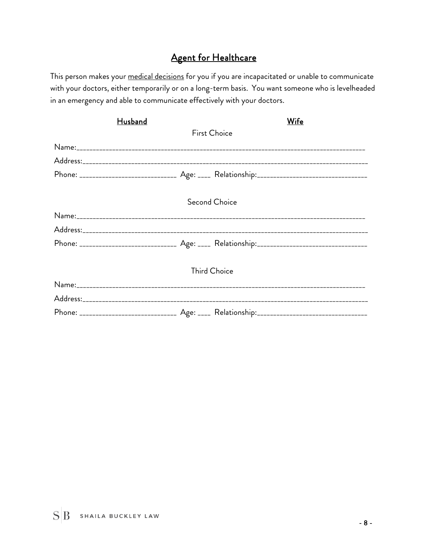## Agent for Healthcare

This person makes your medical decisions for you if you are incapacitated or unable to communicate with your doctors, either temporarily or on a long-term basis. You want someone who is levelheaded in an emergency and able to communicate effectively with your doctors.

| <b>Husband</b>      |  | <b>Wife</b>         |
|---------------------|--|---------------------|
|                     |  | <b>First Choice</b> |
|                     |  |                     |
|                     |  |                     |
|                     |  |                     |
| Second Choice       |  |                     |
|                     |  |                     |
|                     |  |                     |
|                     |  |                     |
| <b>Third Choice</b> |  |                     |
|                     |  |                     |
|                     |  |                     |
|                     |  |                     |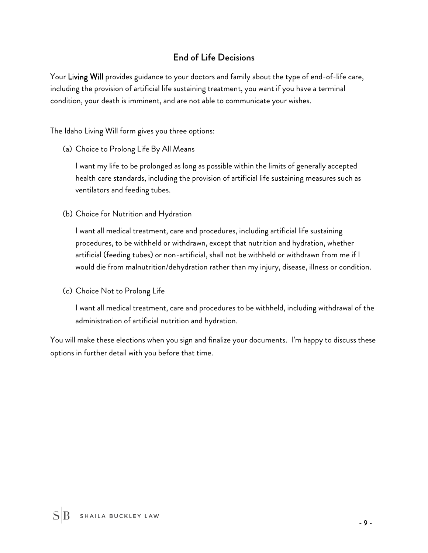## End of Life Decisions

Your Living Will provides guidance to your doctors and family about the type of end-of-life care, including the provision of artificial life sustaining treatment, you want if you have a terminal condition, your death is imminent, and are not able to communicate your wishes.

The Idaho Living Will form gives you three options:

(a) Choice to Prolong Life By All Means

I want my life to be prolonged as long as possible within the limits of generally accepted health care standards, including the provision of artificial life sustaining measures such as ventilators and feeding tubes.

(b) Choice for Nutrition and Hydration

I want all medical treatment, care and procedures, including artificial life sustaining procedures, to be withheld or withdrawn, except that nutrition and hydration, whether artificial (feeding tubes) or non-artificial, shall not be withheld or withdrawn from me if I would die from malnutrition/dehydration rather than my injury, disease, illness or condition.

(c) Choice Not to Prolong Life

I want all medical treatment, care and procedures to be withheld, including withdrawal of the administration of artificial nutrition and hydration.

You will make these elections when you sign and finalize your documents. I'm happy to discuss these options in further detail with you before that time.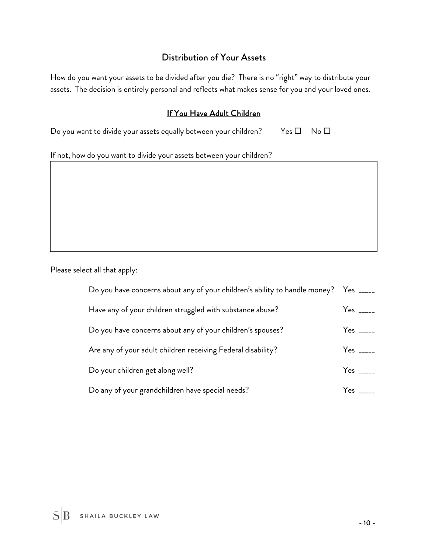#### Distribution of Your Assets

How do you want your assets to be divided after you die? There is no "right" way to distribute your assets. The decision is entirely personal and reflects what makes sense for you and your loved ones.

#### If You Have Adult Children

Do you want to divide your assets equally between your children? Yes  $\square$  No  $\square$ 

If not, how do you want to divide your assets between your children?

Please select all that apply:

| Do you have concerns about any of your children's ability to handle money? Yes _____ |                               |
|--------------------------------------------------------------------------------------|-------------------------------|
| Have any of your children struggled with substance abuse?                            | $Yes$ _____                   |
| Do you have concerns about any of your children's spouses?                           | $Yes$ _____                   |
| Are any of your adult children receiving Federal disability?                         | Yes $\overline{\phantom{a}1}$ |
| Do your children get along well?                                                     | $Yes$ <sub>_____</sub>        |
| Do any of your grandchildren have special needs?                                     | $Yes$ _____                   |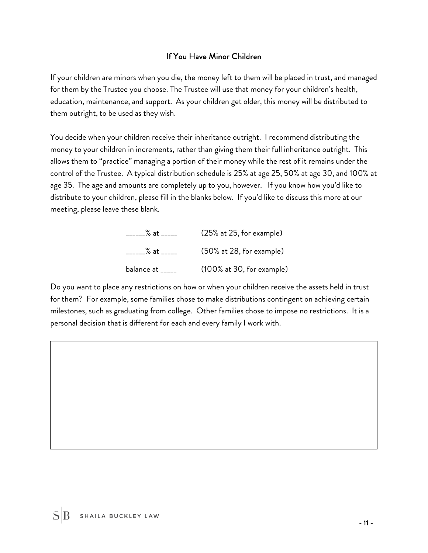#### If You Have Minor Children

If your children are minors when you die, the money left to them will be placed in trust, and managed for them by the Trustee you choose. The Trustee will use that money for your children's health, education, maintenance, and support. As your children get older, this money will be distributed to them outright, to be used as they wish.

You decide when your children receive their inheritance outright. I recommend distributing the money to your children in increments, rather than giving them their full inheritance outright. This allows them to "practice" managing a portion of their money while the rest of it remains under the control of the Trustee. A typical distribution schedule is 25% at age 25, 50% at age 30, and 100% at age 35. The age and amounts are completely up to you, however. If you know how you'd like to distribute to your children, please fill in the blanks below. If you'd like to discuss this more at our meeting, please leave these blank.

| $\%$ at _____    | (25% at 25, for example)  |
|------------------|---------------------------|
| $\%$ at _____    | (50% at 28, for example)  |
| balance at _____ | (100% at 30, for example) |

Do you want to place any restrictions on how or when your children receive the assets held in trust for them? For example, some families chose to make distributions contingent on achieving certain milestones, such as graduating from college. Other families chose to impose no restrictions. It is a personal decision that is different for each and every family I work with.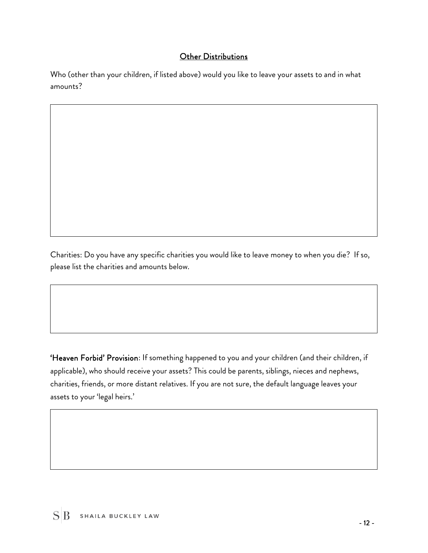#### Other Distributions

Who (other than your children, if listed above) would you like to leave your assets to and in what amounts?

Charities: Do you have any specific charities you would like to leave money to when you die? If so, please list the charities and amounts below.

'Heaven Forbid' Provision: If something happened to you and your children (and their children, if applicable), who should receive your assets? This could be parents, siblings, nieces and nephews, charities, friends, or more distant relatives. If you are not sure, the default language leaves your assets to your 'legal heirs.'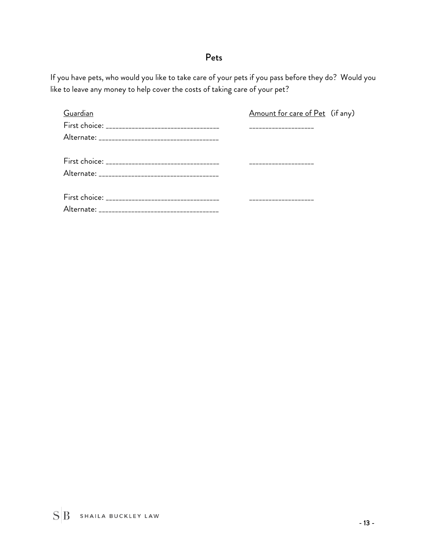### Pets

If you have pets, who would you like to take care of your pets if you pass before they do? Would you like to leave any money to help cover the costs of taking care of your pet?

| Guardian | Amount for care of Pet (if any) |  |
|----------|---------------------------------|--|
|          |                                 |  |
|          |                                 |  |
|          |                                 |  |
|          |                                 |  |
|          |                                 |  |
|          |                                 |  |
|          |                                 |  |
|          |                                 |  |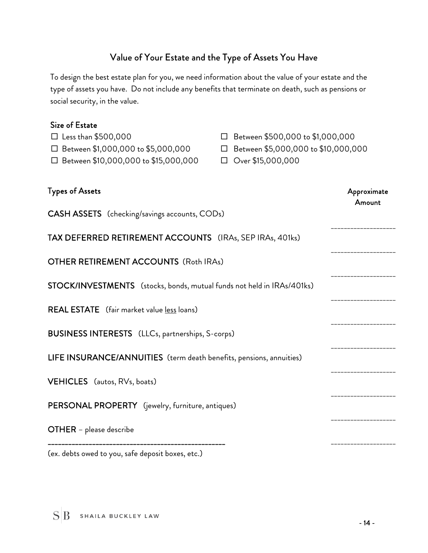## Value of Your Estate and the Type of Assets You Have

To design the best estate plan for you, we need information about the value of your estate and the type of assets you have. Do not include any benefits that terminate on death, such as pensions or social security, in the value.

#### Size of Estate

| $\square$ Less than \$500,000<br>$\Box$ Between \$1,000,000 to \$5,000,000<br>$\Box$ Between \$10,000,000 to \$15,000,000 | □ Between \$500,000 to \$1,000,000<br>□ Between \$5,000,000 to \$10,000,000<br>$\Box$ Over \$15,000,000 |                       |
|---------------------------------------------------------------------------------------------------------------------------|---------------------------------------------------------------------------------------------------------|-----------------------|
| <b>Types of Assets</b>                                                                                                    |                                                                                                         | Approximate<br>Amount |
| <b>CASH ASSETS</b> (checking/savings accounts, CODs)                                                                      |                                                                                                         |                       |
| TAX DEFERRED RETIREMENT ACCOUNTS (IRAs, SEP IRAs, 401ks)                                                                  |                                                                                                         |                       |
| <b>OTHER RETIREMENT ACCOUNTS (Roth IRAs)</b>                                                                              |                                                                                                         |                       |
| STOCK/INVESTMENTS (stocks, bonds, mutual funds not held in IRAs/401ks)                                                    |                                                                                                         |                       |
| <b>REAL ESTATE</b> (fair market value less loans)                                                                         |                                                                                                         |                       |
| <b>BUSINESS INTERESTS</b> (LLCs, partnerships, S-corps)                                                                   |                                                                                                         |                       |
| LIFE INSURANCE/ANNUITIES (term death benefits, pensions, annuities)                                                       |                                                                                                         |                       |
| VEHICLES (autos, RVs, boats)                                                                                              |                                                                                                         |                       |
| PERSONAL PROPERTY (jewelry, furniture, antiques)                                                                          |                                                                                                         |                       |
| <b>OTHER</b> - please describe                                                                                            |                                                                                                         |                       |
|                                                                                                                           |                                                                                                         |                       |

(ex. debts owed to you, safe deposit boxes, etc.)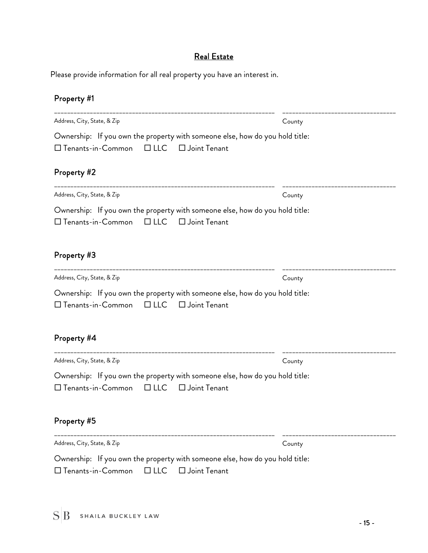## Real Estate

Please provide information for all real property you have an interest in.

## Property #1

| Address, City, State, & Zip                                                                                                                 | County |
|---------------------------------------------------------------------------------------------------------------------------------------------|--------|
| Ownership: If you own the property with someone else, how do you hold title:<br>$\square$ Tenants-in-Common $\square$ LLC<br>□ Joint Tenant |        |
| Property #2                                                                                                                                 |        |
| Address, City, State, & Zip                                                                                                                 | County |
| Ownership: If you own the property with someone else, how do you hold title:<br>□ Tenants-in-Common<br>$\Box$ LLC $\Box$ Joint Tenant       |        |
| Property #3                                                                                                                                 |        |
| Address, City, State, & Zip                                                                                                                 | County |
| Ownership: If you own the property with someone else, how do you hold title:<br>□ Tenants-in-Common<br>□ Joint Tenant<br>$\Box$ LLC         |        |
| Property #4                                                                                                                                 |        |
| Address, City, State, & Zip                                                                                                                 | County |
| Ownership: If you own the property with someone else, how do you hold title:<br>□ Tenants-in-Common<br>$\Box$ LLC<br>$\Box$ Joint Tenant    |        |
| Property #5                                                                                                                                 |        |
| Address, City, State, & Zip                                                                                                                 | County |
| Ownership: If you own the property with someone else, how do you hold title:<br>□ Joint Tenant<br>□ Tenants-in-Common<br>$\Box$ LLC         |        |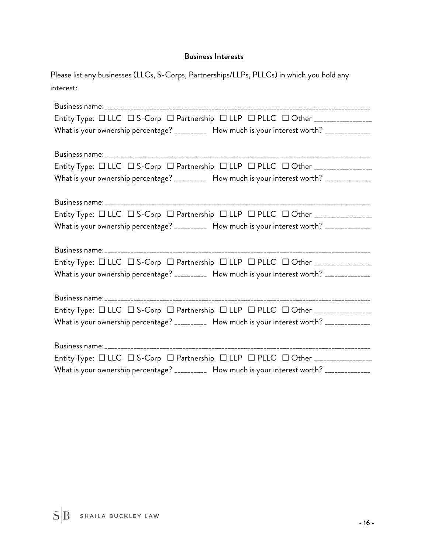#### Business Interests

| Please list any businesses (LLCs, S-Corps, Partnerships/LLPs, PLLCs) in which you hold any |  |
|--------------------------------------------------------------------------------------------|--|
| interest:                                                                                  |  |

| Entity Type: $\Box$ LLC $\Box$ S-Corp $\Box$ Partnership $\Box$ LLP $\Box$ PLLC $\Box$ Other _________________ |  |  |
|----------------------------------------------------------------------------------------------------------------|--|--|
| What is your ownership percentage? __________ How much is your interest worth? _____________                   |  |  |
|                                                                                                                |  |  |
|                                                                                                                |  |  |
| Entity Type: $\Box$ LLC $\Box$ S-Corp $\Box$ Partnership $\Box$ LLP $\Box$ PLLC $\Box$ Other _________________ |  |  |
| What is your ownership percentage? __________ How much is your interest worth? _____________                   |  |  |
|                                                                                                                |  |  |
|                                                                                                                |  |  |
| Entity Type: $\Box$ LLC $\Box$ S-Corp $\Box$ Partnership $\Box$ LLP $\Box$ PLLC $\Box$ Other _________________ |  |  |
| What is your ownership percentage? __________ How much is your interest worth? _____________                   |  |  |
|                                                                                                                |  |  |
|                                                                                                                |  |  |
| Entity Type: $\Box$ LLC $\Box$ S-Corp $\Box$ Partnership $\Box$ LLP $\Box$ PLLC $\Box$ Other _________________ |  |  |
| What is your ownership percentage? __________ How much is your interest worth? _____________                   |  |  |
|                                                                                                                |  |  |
|                                                                                                                |  |  |
| Entity Type: $\Box$ LLC $\Box$ S-Corp $\Box$ Partnership $\Box$ LLP $\Box$ PLLC $\Box$ Other _________________ |  |  |
| What is your ownership percentage? __________ How much is your interest worth? _____________                   |  |  |
|                                                                                                                |  |  |
|                                                                                                                |  |  |
| Entity Type: $\Box$ LLC $\Box$ S-Corp $\Box$ Partnership $\Box$ LLP $\Box$ PLLC $\Box$ Other _________________ |  |  |
| What is your ownership percentage? __________ How much is your interest worth? _____________                   |  |  |